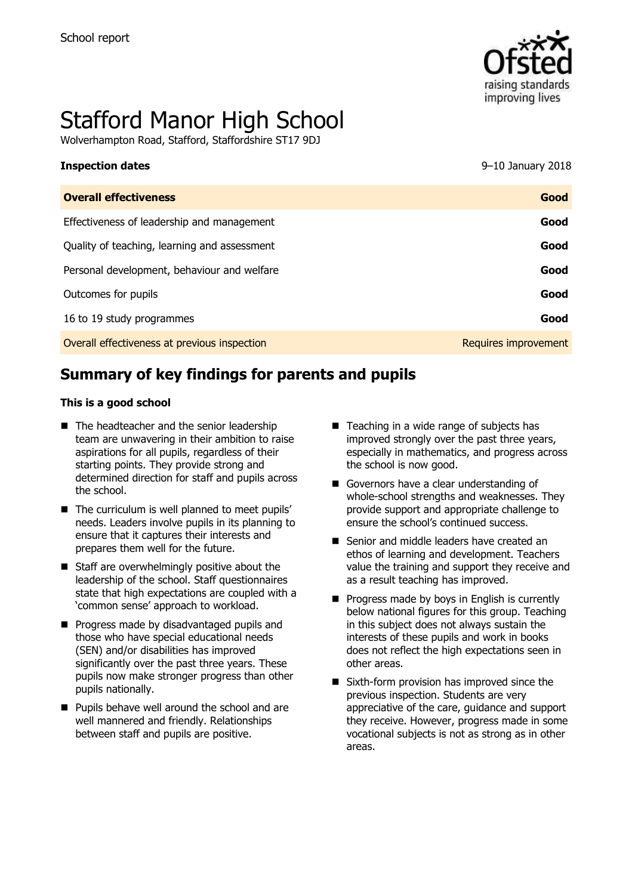

# Stafford Manor High School

Wolverhampton Road, Stafford, Staffordshire ST17 9DJ

| <b>Inspection dates</b>                      | 9–10 January 2018    |
|----------------------------------------------|----------------------|
| <b>Overall effectiveness</b>                 | Good                 |
| Effectiveness of leadership and management   | Good                 |
| Quality of teaching, learning and assessment | Good                 |
| Personal development, behaviour and welfare  | Good                 |
| Outcomes for pupils                          | Good                 |
| 16 to 19 study programmes                    | Good                 |
| Overall effectiveness at previous inspection | Requires improvement |
|                                              |                      |

# **Summary of key findings for parents and pupils**

#### **This is a good school**

- The headteacher and the senior leadership team are unwavering in their ambition to raise aspirations for all pupils, regardless of their starting points. They provide strong and determined direction for staff and pupils across the school.
- $\blacksquare$  The curriculum is well planned to meet pupils' needs. Leaders involve pupils in its planning to ensure that it captures their interests and prepares them well for the future.
- Staff are overwhelmingly positive about the leadership of the school. Staff questionnaires state that high expectations are coupled with a 'common sense' approach to workload.
- **Progress made by disadvantaged pupils and** those who have special educational needs (SEN) and/or disabilities has improved significantly over the past three years. These pupils now make stronger progress than other pupils nationally.
- **Pupils behave well around the school and are** well mannered and friendly. Relationships between staff and pupils are positive.
- Teaching in a wide range of subjects has improved strongly over the past three years, especially in mathematics, and progress across the school is now good.
- Governors have a clear understanding of whole-school strengths and weaknesses. They provide support and appropriate challenge to ensure the school's continued success.
- Senior and middle leaders have created an ethos of learning and development. Teachers value the training and support they receive and as a result teaching has improved.
- $\blacksquare$  Progress made by boys in English is currently below national figures for this group. Teaching in this subject does not always sustain the interests of these pupils and work in books does not reflect the high expectations seen in other areas.
- Sixth-form provision has improved since the previous inspection. Students are very appreciative of the care, guidance and support they receive. However, progress made in some vocational subjects is not as strong as in other areas.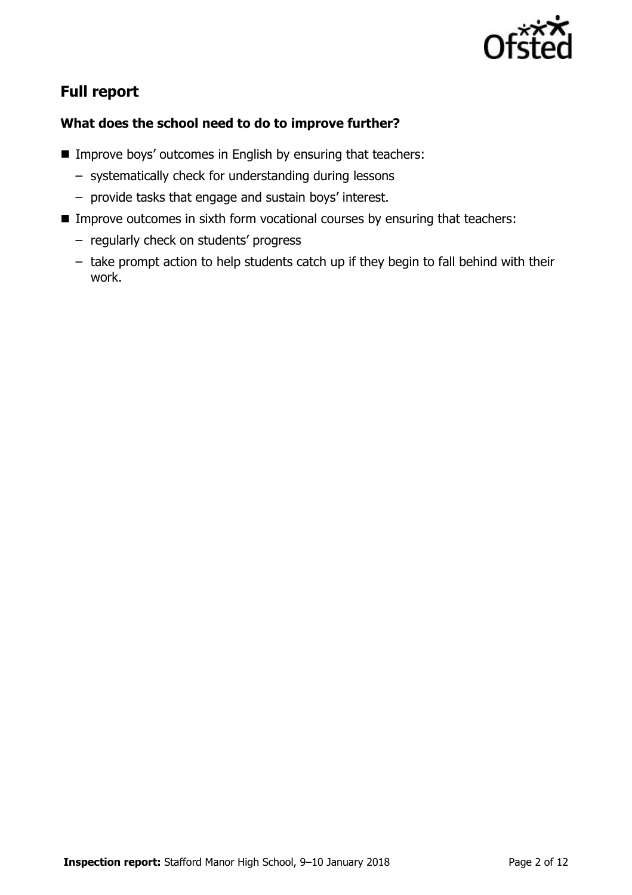

# **Full report**

### **What does the school need to do to improve further?**

- **IMPROVE BOYS' outcomes in English by ensuring that teachers:** 
	- systematically check for understanding during lessons
	- provide tasks that engage and sustain boys' interest.
- **IMPROVE OUTCOMES IN SIXTH form vocational courses by ensuring that teachers:** 
	- regularly check on students' progress
	- take prompt action to help students catch up if they begin to fall behind with their work.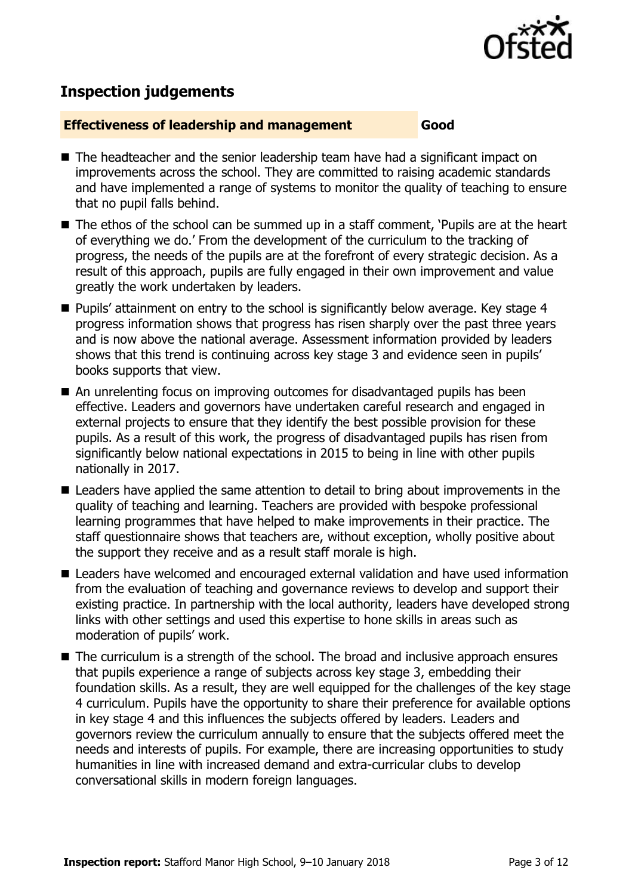

# **Inspection judgements**

#### **Effectiveness of leadership and management Good**

- The headteacher and the senior leadership team have had a significant impact on improvements across the school. They are committed to raising academic standards and have implemented a range of systems to monitor the quality of teaching to ensure that no pupil falls behind.
- The ethos of the school can be summed up in a staff comment, 'Pupils are at the heart of everything we do.' From the development of the curriculum to the tracking of progress, the needs of the pupils are at the forefront of every strategic decision. As a result of this approach, pupils are fully engaged in their own improvement and value greatly the work undertaken by leaders.
- Pupils' attainment on entry to the school is significantly below average. Key stage 4 progress information shows that progress has risen sharply over the past three years and is now above the national average. Assessment information provided by leaders shows that this trend is continuing across key stage 3 and evidence seen in pupils' books supports that view.
- An unrelenting focus on improving outcomes for disadvantaged pupils has been effective. Leaders and governors have undertaken careful research and engaged in external projects to ensure that they identify the best possible provision for these pupils. As a result of this work, the progress of disadvantaged pupils has risen from significantly below national expectations in 2015 to being in line with other pupils nationally in 2017.
- Leaders have applied the same attention to detail to bring about improvements in the quality of teaching and learning. Teachers are provided with bespoke professional learning programmes that have helped to make improvements in their practice. The staff questionnaire shows that teachers are, without exception, wholly positive about the support they receive and as a result staff morale is high.
- Leaders have welcomed and encouraged external validation and have used information from the evaluation of teaching and governance reviews to develop and support their existing practice. In partnership with the local authority, leaders have developed strong links with other settings and used this expertise to hone skills in areas such as moderation of pupils' work.
- $\blacksquare$  The curriculum is a strength of the school. The broad and inclusive approach ensures that pupils experience a range of subjects across key stage 3, embedding their foundation skills. As a result, they are well equipped for the challenges of the key stage 4 curriculum. Pupils have the opportunity to share their preference for available options in key stage 4 and this influences the subjects offered by leaders. Leaders and governors review the curriculum annually to ensure that the subjects offered meet the needs and interests of pupils. For example, there are increasing opportunities to study humanities in line with increased demand and extra-curricular clubs to develop conversational skills in modern foreign languages.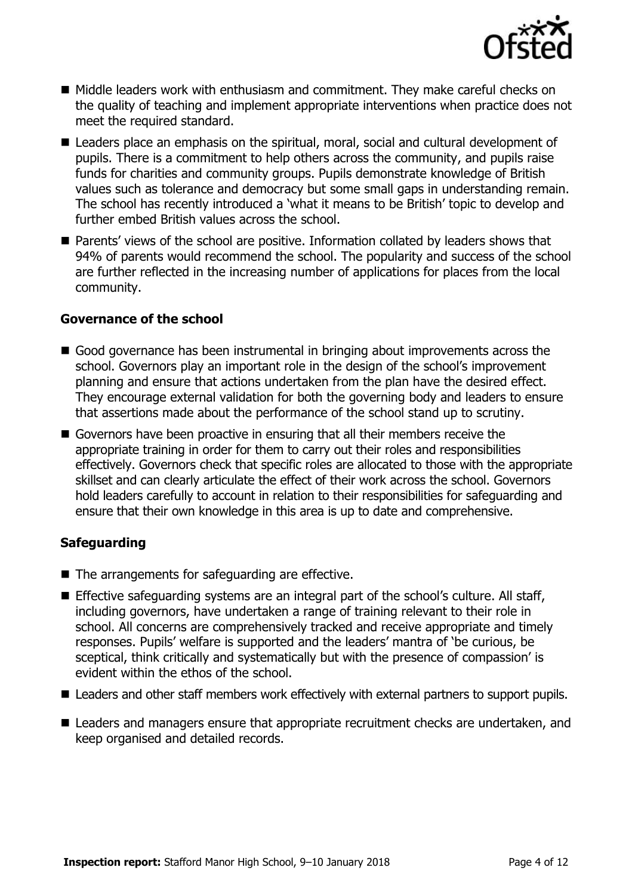

- Middle leaders work with enthusiasm and commitment. They make careful checks on the quality of teaching and implement appropriate interventions when practice does not meet the required standard.
- Leaders place an emphasis on the spiritual, moral, social and cultural development of pupils. There is a commitment to help others across the community, and pupils raise funds for charities and community groups. Pupils demonstrate knowledge of British values such as tolerance and democracy but some small gaps in understanding remain. The school has recently introduced a 'what it means to be British' topic to develop and further embed British values across the school.
- Parents' views of the school are positive. Information collated by leaders shows that 94% of parents would recommend the school. The popularity and success of the school are further reflected in the increasing number of applications for places from the local community.

#### **Governance of the school**

- Good governance has been instrumental in bringing about improvements across the school. Governors play an important role in the design of the school's improvement planning and ensure that actions undertaken from the plan have the desired effect. They encourage external validation for both the governing body and leaders to ensure that assertions made about the performance of the school stand up to scrutiny.
- Governors have been proactive in ensuring that all their members receive the appropriate training in order for them to carry out their roles and responsibilities effectively. Governors check that specific roles are allocated to those with the appropriate skillset and can clearly articulate the effect of their work across the school. Governors hold leaders carefully to account in relation to their responsibilities for safeguarding and ensure that their own knowledge in this area is up to date and comprehensive.

### **Safeguarding**

- The arrangements for safeguarding are effective.
- **Effective safeguarding systems are an integral part of the school's culture. All staff,** including governors, have undertaken a range of training relevant to their role in school. All concerns are comprehensively tracked and receive appropriate and timely responses. Pupils' welfare is supported and the leaders' mantra of 'be curious, be sceptical, think critically and systematically but with the presence of compassion' is evident within the ethos of the school.
- Leaders and other staff members work effectively with external partners to support pupils.
- Leaders and managers ensure that appropriate recruitment checks are undertaken, and keep organised and detailed records.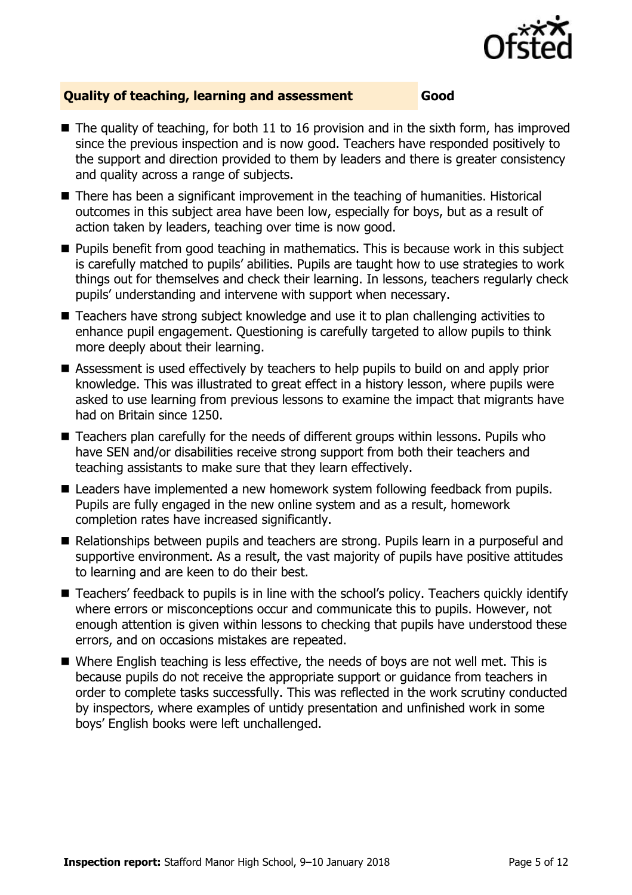

#### **Quality of teaching, learning and assessment Good**

- $\blacksquare$  The quality of teaching, for both 11 to 16 provision and in the sixth form, has improved since the previous inspection and is now good. Teachers have responded positively to the support and direction provided to them by leaders and there is greater consistency and quality across a range of subjects.
- There has been a significant improvement in the teaching of humanities. Historical outcomes in this subject area have been low, especially for boys, but as a result of action taken by leaders, teaching over time is now good.
- **Pupils benefit from good teaching in mathematics. This is because work in this subject** is carefully matched to pupils' abilities. Pupils are taught how to use strategies to work things out for themselves and check their learning. In lessons, teachers regularly check pupils' understanding and intervene with support when necessary.
- Teachers have strong subject knowledge and use it to plan challenging activities to enhance pupil engagement. Questioning is carefully targeted to allow pupils to think more deeply about their learning.
- Assessment is used effectively by teachers to help pupils to build on and apply prior knowledge. This was illustrated to great effect in a history lesson, where pupils were asked to use learning from previous lessons to examine the impact that migrants have had on Britain since 1250.
- Teachers plan carefully for the needs of different groups within lessons. Pupils who have SEN and/or disabilities receive strong support from both their teachers and teaching assistants to make sure that they learn effectively.
- Leaders have implemented a new homework system following feedback from pupils. Pupils are fully engaged in the new online system and as a result, homework completion rates have increased significantly.
- Relationships between pupils and teachers are strong. Pupils learn in a purposeful and supportive environment. As a result, the vast majority of pupils have positive attitudes to learning and are keen to do their best.
- Teachers' feedback to pupils is in line with the school's policy. Teachers quickly identify where errors or misconceptions occur and communicate this to pupils. However, not enough attention is given within lessons to checking that pupils have understood these errors, and on occasions mistakes are repeated.
- Where English teaching is less effective, the needs of boys are not well met. This is because pupils do not receive the appropriate support or guidance from teachers in order to complete tasks successfully. This was reflected in the work scrutiny conducted by inspectors, where examples of untidy presentation and unfinished work in some boys' English books were left unchallenged.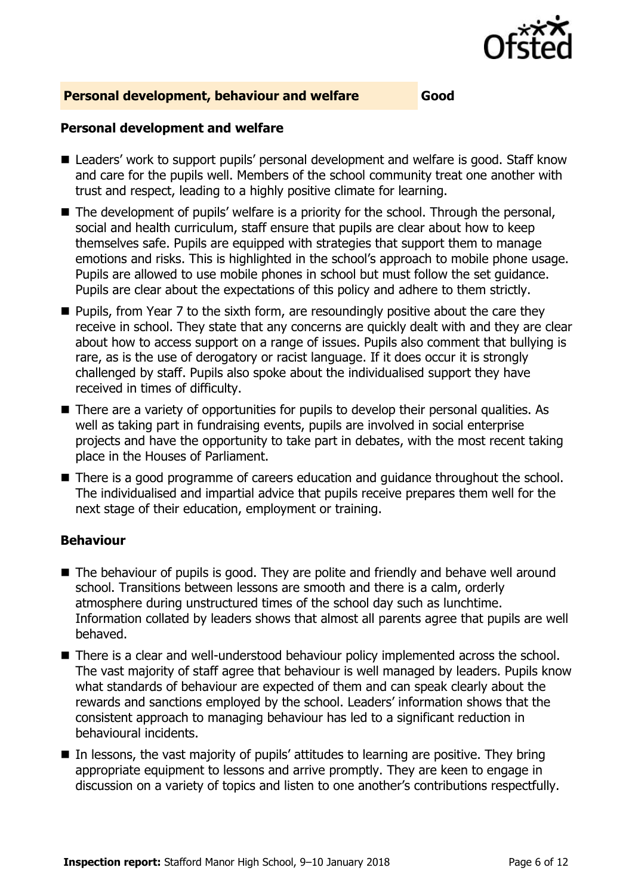

#### **Personal development, behaviour and welfare Good**

#### **Personal development and welfare**

- Leaders' work to support pupils' personal development and welfare is good. Staff know and care for the pupils well. Members of the school community treat one another with trust and respect, leading to a highly positive climate for learning.
- The development of pupils' welfare is a priority for the school. Through the personal, social and health curriculum, staff ensure that pupils are clear about how to keep themselves safe. Pupils are equipped with strategies that support them to manage emotions and risks. This is highlighted in the school's approach to mobile phone usage. Pupils are allowed to use mobile phones in school but must follow the set guidance. Pupils are clear about the expectations of this policy and adhere to them strictly.
- **Pupils, from Year 7 to the sixth form, are resoundingly positive about the care they** receive in school. They state that any concerns are quickly dealt with and they are clear about how to access support on a range of issues. Pupils also comment that bullying is rare, as is the use of derogatory or racist language. If it does occur it is strongly challenged by staff. Pupils also spoke about the individualised support they have received in times of difficulty.
- There are a variety of opportunities for pupils to develop their personal qualities. As well as taking part in fundraising events, pupils are involved in social enterprise projects and have the opportunity to take part in debates, with the most recent taking place in the Houses of Parliament.
- There is a good programme of careers education and guidance throughout the school. The individualised and impartial advice that pupils receive prepares them well for the next stage of their education, employment or training.

### **Behaviour**

- The behaviour of pupils is good. They are polite and friendly and behave well around school. Transitions between lessons are smooth and there is a calm, orderly atmosphere during unstructured times of the school day such as lunchtime. Information collated by leaders shows that almost all parents agree that pupils are well behaved.
- There is a clear and well-understood behaviour policy implemented across the school. The vast majority of staff agree that behaviour is well managed by leaders. Pupils know what standards of behaviour are expected of them and can speak clearly about the rewards and sanctions employed by the school. Leaders' information shows that the consistent approach to managing behaviour has led to a significant reduction in behavioural incidents.
- In lessons, the vast majority of pupils' attitudes to learning are positive. They bring appropriate equipment to lessons and arrive promptly. They are keen to engage in discussion on a variety of topics and listen to one another's contributions respectfully.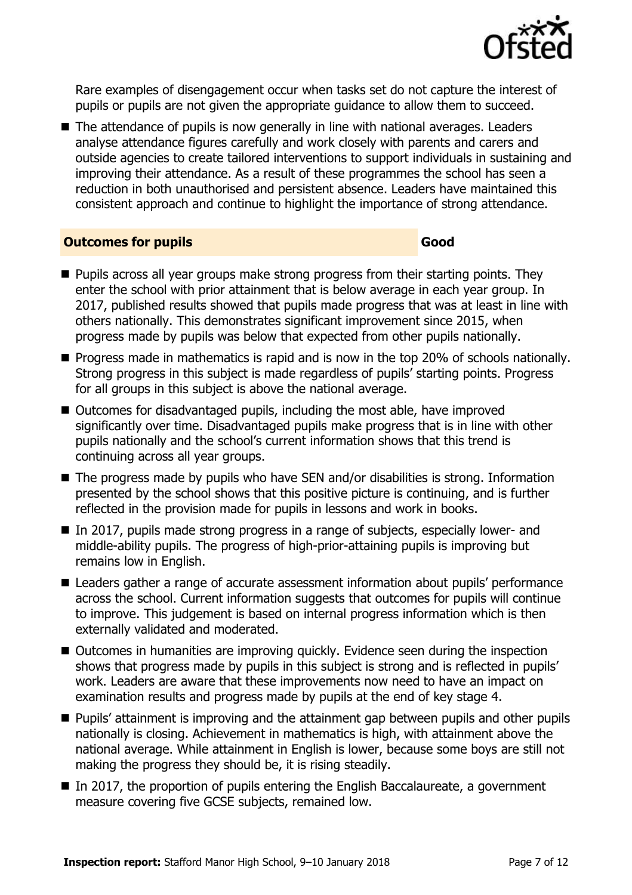

Rare examples of disengagement occur when tasks set do not capture the interest of pupils or pupils are not given the appropriate guidance to allow them to succeed.

■ The attendance of pupils is now generally in line with national averages. Leaders analyse attendance figures carefully and work closely with parents and carers and outside agencies to create tailored interventions to support individuals in sustaining and improving their attendance. As a result of these programmes the school has seen a reduction in both unauthorised and persistent absence. Leaders have maintained this consistent approach and continue to highlight the importance of strong attendance.

#### **Outcomes for pupils Good**

- **Pupils across all year groups make strong progress from their starting points. They** enter the school with prior attainment that is below average in each year group. In 2017, published results showed that pupils made progress that was at least in line with others nationally. This demonstrates significant improvement since 2015, when progress made by pupils was below that expected from other pupils nationally.
- **Progress made in mathematics is rapid and is now in the top 20% of schools nationally.** Strong progress in this subject is made regardless of pupils' starting points. Progress for all groups in this subject is above the national average.
- Outcomes for disadvantaged pupils, including the most able, have improved significantly over time. Disadvantaged pupils make progress that is in line with other pupils nationally and the school's current information shows that this trend is continuing across all year groups.
- The progress made by pupils who have SEN and/or disabilities is strong. Information presented by the school shows that this positive picture is continuing, and is further reflected in the provision made for pupils in lessons and work in books.
- In 2017, pupils made strong progress in a range of subjects, especially lower- and middle-ability pupils. The progress of high-prior-attaining pupils is improving but remains low in English.
- Leaders gather a range of accurate assessment information about pupils' performance across the school. Current information suggests that outcomes for pupils will continue to improve. This judgement is based on internal progress information which is then externally validated and moderated.
- Outcomes in humanities are improving quickly. Evidence seen during the inspection shows that progress made by pupils in this subject is strong and is reflected in pupils' work. Leaders are aware that these improvements now need to have an impact on examination results and progress made by pupils at the end of key stage 4.
- **Pupils' attainment is improving and the attainment gap between pupils and other pupils** nationally is closing. Achievement in mathematics is high, with attainment above the national average. While attainment in English is lower, because some boys are still not making the progress they should be, it is rising steadily.
- In 2017, the proportion of pupils entering the English Baccalaureate, a government measure covering five GCSE subjects, remained low.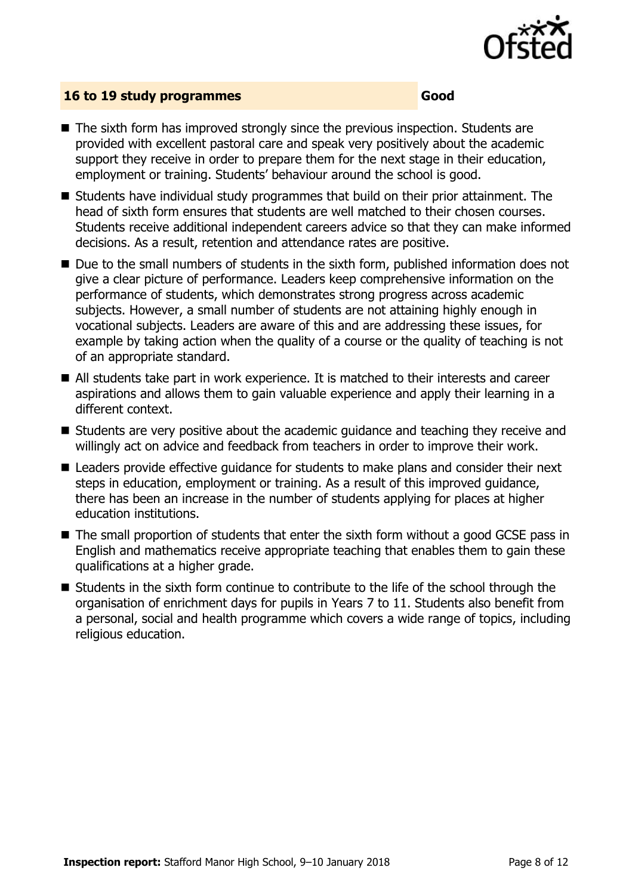

#### **16 to 19 study programmes Good**

- The sixth form has improved strongly since the previous inspection. Students are provided with excellent pastoral care and speak very positively about the academic support they receive in order to prepare them for the next stage in their education, employment or training. Students' behaviour around the school is good.
- Students have individual study programmes that build on their prior attainment. The head of sixth form ensures that students are well matched to their chosen courses. Students receive additional independent careers advice so that they can make informed decisions. As a result, retention and attendance rates are positive.
- Due to the small numbers of students in the sixth form, published information does not give a clear picture of performance. Leaders keep comprehensive information on the performance of students, which demonstrates strong progress across academic subjects. However, a small number of students are not attaining highly enough in vocational subjects. Leaders are aware of this and are addressing these issues, for example by taking action when the quality of a course or the quality of teaching is not of an appropriate standard.
- All students take part in work experience. It is matched to their interests and career aspirations and allows them to gain valuable experience and apply their learning in a different context.
- Students are very positive about the academic guidance and teaching they receive and willingly act on advice and feedback from teachers in order to improve their work.
- Leaders provide effective quidance for students to make plans and consider their next steps in education, employment or training. As a result of this improved guidance, there has been an increase in the number of students applying for places at higher education institutions.
- The small proportion of students that enter the sixth form without a good GCSE pass in English and mathematics receive appropriate teaching that enables them to gain these qualifications at a higher grade.
- Students in the sixth form continue to contribute to the life of the school through the organisation of enrichment days for pupils in Years 7 to 11. Students also benefit from a personal, social and health programme which covers a wide range of topics, including religious education.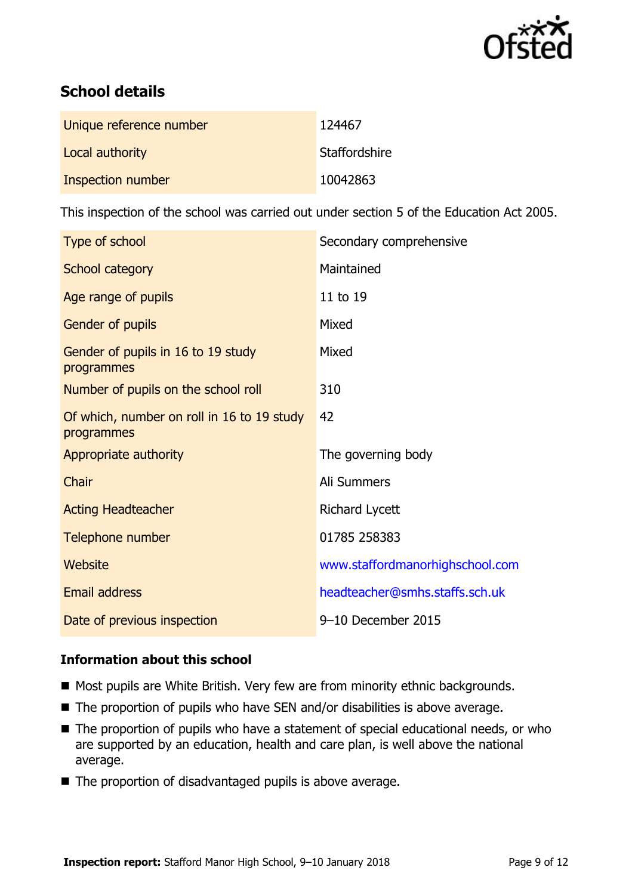

# **School details**

| Unique reference number | 124467        |
|-------------------------|---------------|
| Local authority         | Staffordshire |
| Inspection number       | 10042863      |

This inspection of the school was carried out under section 5 of the Education Act 2005.

| Type of school                                           | Secondary comprehensive         |
|----------------------------------------------------------|---------------------------------|
| School category                                          | Maintained                      |
| Age range of pupils                                      | 11 to 19                        |
| Gender of pupils                                         | Mixed                           |
| Gender of pupils in 16 to 19 study<br>programmes         | Mixed                           |
| Number of pupils on the school roll                      | 310                             |
| Of which, number on roll in 16 to 19 study<br>programmes | 42                              |
| Appropriate authority                                    | The governing body              |
| Chair                                                    | Ali Summers                     |
| <b>Acting Headteacher</b>                                | <b>Richard Lycett</b>           |
| Telephone number                                         | 01785 258383                    |
| Website                                                  | www.staffordmanorhighschool.com |
| <b>Email address</b>                                     | headteacher@smhs.staffs.sch.uk  |
| Date of previous inspection                              | 9-10 December 2015              |

### **Information about this school**

- Most pupils are White British. Very few are from minority ethnic backgrounds.
- The proportion of pupils who have SEN and/or disabilities is above average.
- The proportion of pupils who have a statement of special educational needs, or who are supported by an education, health and care plan, is well above the national average.
- The proportion of disadvantaged pupils is above average.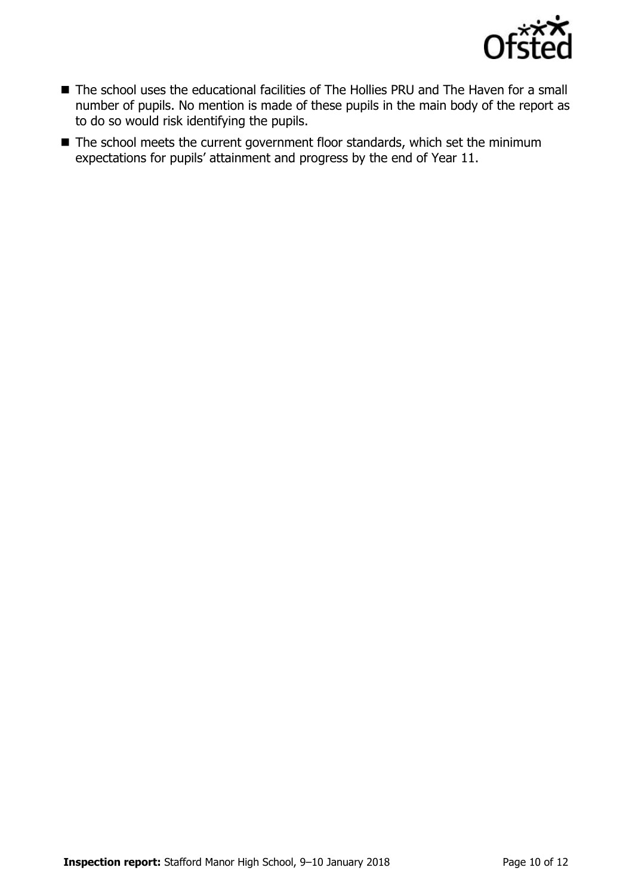

- The school uses the educational facilities of The Hollies PRU and The Haven for a small number of pupils. No mention is made of these pupils in the main body of the report as to do so would risk identifying the pupils.
- The school meets the current government floor standards, which set the minimum expectations for pupils' attainment and progress by the end of Year 11.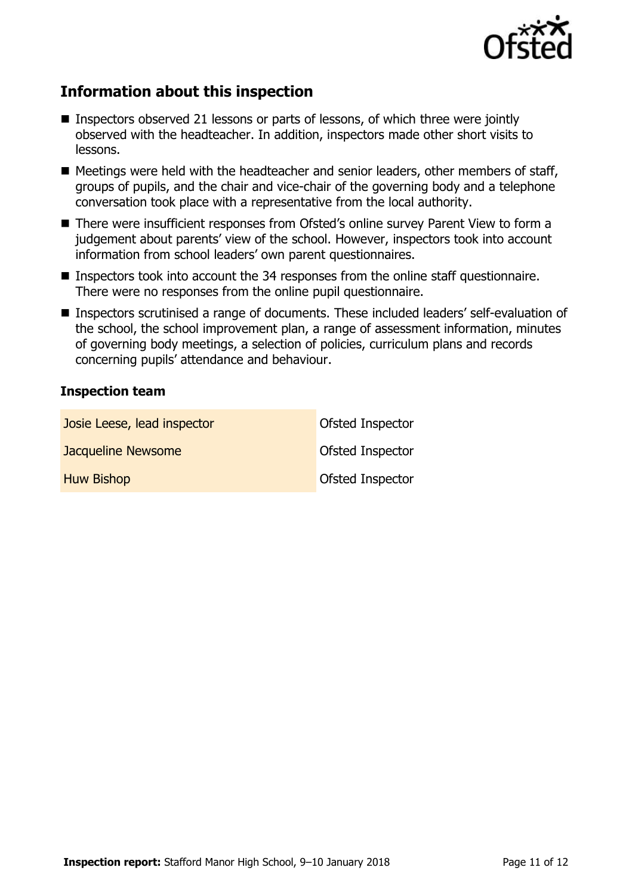

# **Information about this inspection**

- **Inspectors observed 21 lessons or parts of lessons, of which three were jointly** observed with the headteacher. In addition, inspectors made other short visits to lessons.
- Meetings were held with the headteacher and senior leaders, other members of staff, groups of pupils, and the chair and vice-chair of the governing body and a telephone conversation took place with a representative from the local authority.
- There were insufficient responses from Ofsted's online survey Parent View to form a judgement about parents' view of the school. However, inspectors took into account information from school leaders' own parent questionnaires.
- Inspectors took into account the 34 responses from the online staff questionnaire. There were no responses from the online pupil questionnaire.
- Inspectors scrutinised a range of documents. These included leaders' self-evaluation of the school, the school improvement plan, a range of assessment information, minutes of governing body meetings, a selection of policies, curriculum plans and records concerning pupils' attendance and behaviour.

#### **Inspection team**

| Josie Leese, lead inspector | Ofsted Inspector        |
|-----------------------------|-------------------------|
| Jacqueline Newsome          | <b>Ofsted Inspector</b> |
| <b>Huw Bishop</b>           | <b>Ofsted Inspector</b> |